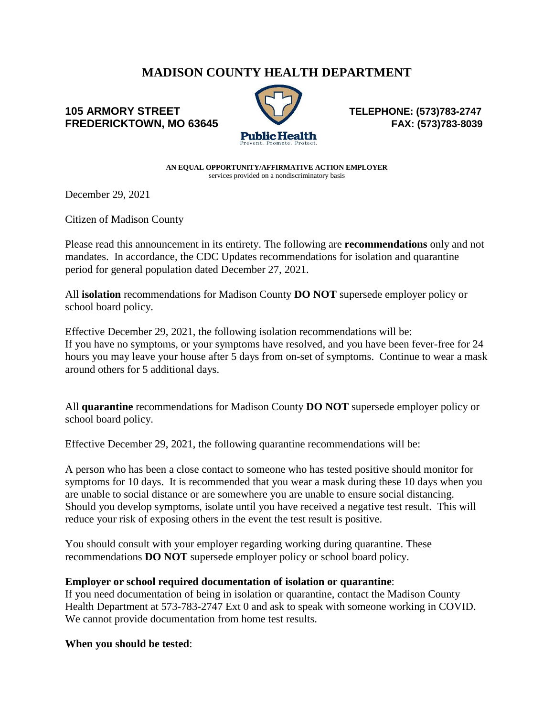# **MADISON COUNTY HEALTH DEPARTMENT**

## **105 ARMORY STREET TELEPHONE: (573)783-2747 FREDERICKTOWN, MO 63645 FAX: (573)783-8039**



**AN EQUAL OPPORTUNITY/AFFIRMATIVE ACTION EMPLOYER** services provided on a nondiscriminatory basis

December 29, 2021

Citizen of Madison County

Please read this announcement in its entirety. The following are **recommendations** only and not mandates. In accordance, the CDC Updates recommendations for isolation and quarantine period for general population dated December 27, 2021.

All **isolation** recommendations for Madison County **DO NOT** supersede employer policy or school board policy.

Effective December 29, 2021, the following isolation recommendations will be: If you have no symptoms, or your symptoms have resolved, and you have been fever-free for 24 hours you may leave your house after 5 days from on-set of symptoms. Continue to wear a mask around others for 5 additional days.

All **quarantine** recommendations for Madison County **DO NOT** supersede employer policy or school board policy.

Effective December 29, 2021, the following quarantine recommendations will be:

A person who has been a close contact to someone who has tested positive should monitor for symptoms for 10 days. It is recommended that you wear a mask during these 10 days when you are unable to social distance or are somewhere you are unable to ensure social distancing. Should you develop symptoms, isolate until you have received a negative test result. This will reduce your risk of exposing others in the event the test result is positive.

You should consult with your employer regarding working during quarantine. These recommendations **DO NOT** supersede employer policy or school board policy.

#### **Employer or school required documentation of isolation or quarantine**:

If you need documentation of being in isolation or quarantine, contact the Madison County Health Department at 573-783-2747 Ext 0 and ask to speak with someone working in COVID. We cannot provide documentation from home test results.

#### **When you should be tested**: